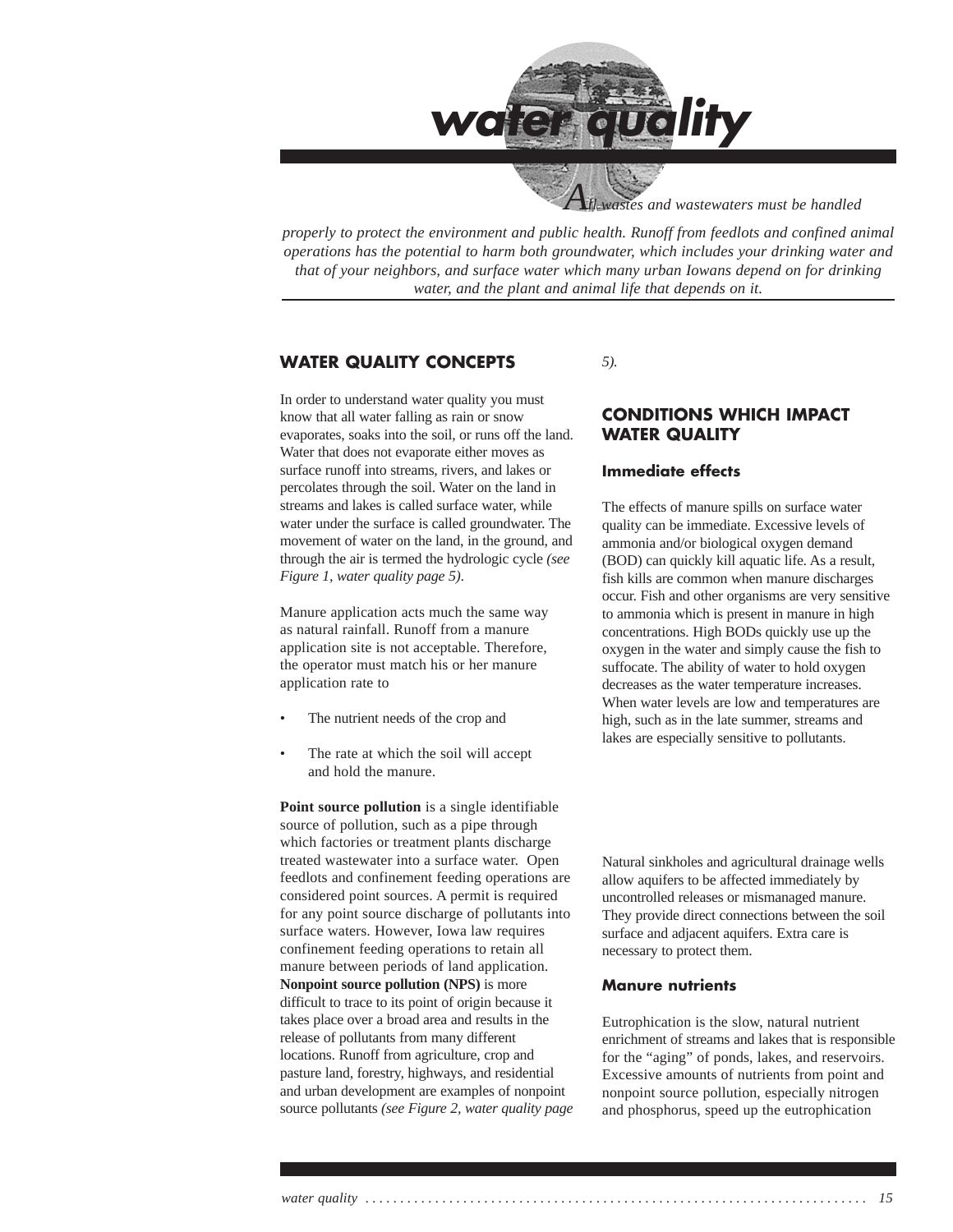

wastes and wastewaters must be handled

*properly to protect the environment and public health. Runoff from feedlots and confined animal operations has the potential to harm both groundwater, which includes your drinking water and that of your neighbors, and surface water which many urban Iowans depend on for drinking water, and the plant and animal life that depends on it.*

### **WATER QUALITY CONCEPTS**

In order to understand water quality you must know that all water falling as rain or snow evaporates, soaks into the soil, or runs off the land. Water that does not evaporate either moves as surface runoff into streams, rivers, and lakes or percolates through the soil. Water on the land in streams and lakes is called surface water, while water under the surface is called groundwater. The movement of water on the land, in the ground, and through the air is termed the hydrologic cycle *(see Figure 1, water quality page 5)*.

Manure application acts much the same way as natural rainfall. Runoff from a manure application site is not acceptable. Therefore, the operator must match his or her manure application rate to

- The nutrient needs of the crop and
- The rate at which the soil will accept and hold the manure.

**Point source pollution** is a single identifiable source of pollution, such as a pipe through which factories or treatment plants discharge treated wastewater into a surface water. Open feedlots and confinement feeding operations are considered point sources. A permit is required for any point source discharge of pollutants into surface waters. However, Iowa law requires confinement feeding operations to retain all manure between periods of land application. **Nonpoint source pollution (NPS)** is more difficult to trace to its point of origin because it takes place over a broad area and results in the release of pollutants from many different locations. Runoff from agriculture, crop and pasture land, forestry, highways, and residential and urban development are examples of nonpoint source pollutants *(see Figure 2, water quality page* *5).*

### **CONDITIONS WHICH IMPACT WATER QUALITY**

### **Immediate effects**

The effects of manure spills on surface water quality can be immediate. Excessive levels of ammonia and/or biological oxygen demand (BOD) can quickly kill aquatic life. As a result, fish kills are common when manure discharges occur. Fish and other organisms are very sensitive to ammonia which is present in manure in high concentrations. High BODs quickly use up the oxygen in the water and simply cause the fish to suffocate. The ability of water to hold oxygen decreases as the water temperature increases. When water levels are low and temperatures are high, such as in the late summer, streams and lakes are especially sensitive to pollutants.

Natural sinkholes and agricultural drainage wells allow aquifers to be affected immediately by uncontrolled releases or mismanaged manure. They provide direct connections between the soil surface and adjacent aquifers. Extra care is necessary to protect them.

#### **Manure nutrients**

Eutrophication is the slow, natural nutrient enrichment of streams and lakes that is responsible for the "aging" of ponds, lakes, and reservoirs. Excessive amounts of nutrients from point and nonpoint source pollution, especially nitrogen and phosphorus, speed up the eutrophication

*water quality . . . . . . . . . . . . . . . . . . . . . . . . . . . . . . . . . . . . . . . . . . . . . . . . . . . . . . . . . . . . . . . . . . . . . . . . 15*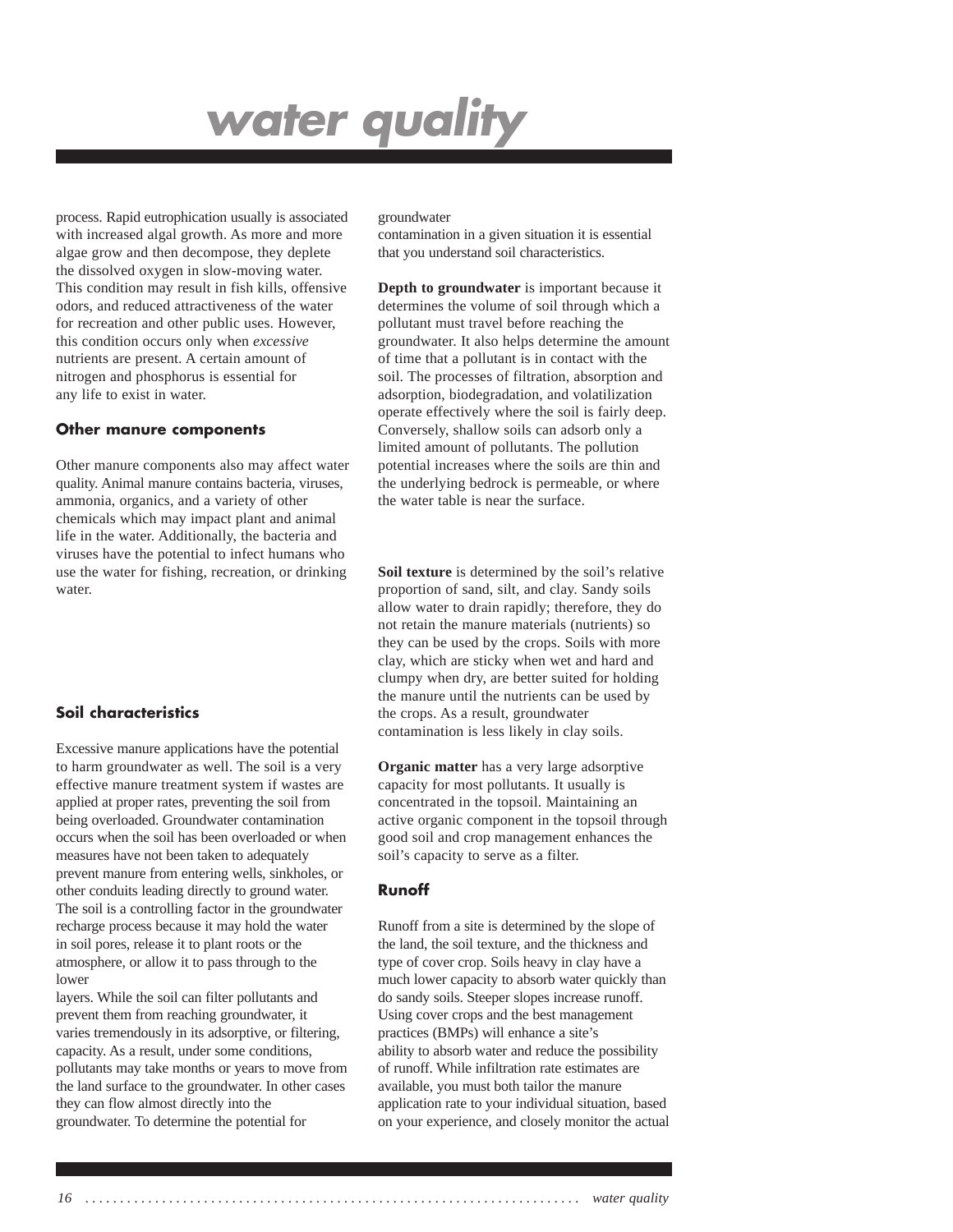process. Rapid eutrophication usually is associated with increased algal growth. As more and more algae grow and then decompose, they deplete the dissolved oxygen in slow-moving water. This condition may result in fish kills, offensive odors, and reduced attractiveness of the water for recreation and other public uses. However, this condition occurs only when *excessive* nutrients are present. A certain amount of nitrogen and phosphorus is essential for any life to exist in water.

#### **Other manure components**

Other manure components also may affect water quality. Animal manure contains bacteria, viruses, ammonia, organics, and a variety of other chemicals which may impact plant and animal life in the water. Additionally, the bacteria and viruses have the potential to infect humans who use the water for fishing, recreation, or drinking water.

### **Soil characteristics**

Excessive manure applications have the potential to harm groundwater as well. The soil is a very effective manure treatment system if wastes are applied at proper rates, preventing the soil from being overloaded. Groundwater contamination occurs when the soil has been overloaded or when measures have not been taken to adequately prevent manure from entering wells, sinkholes, or other conduits leading directly to ground water. The soil is a controlling factor in the groundwater recharge process because it may hold the water in soil pores, release it to plant roots or the atmosphere, or allow it to pass through to the lower

layers. While the soil can filter pollutants and prevent them from reaching groundwater, it varies tremendously in its adsorptive, or filtering, capacity. As a result, under some conditions, pollutants may take months or years to move from the land surface to the groundwater. In other cases they can flow almost directly into the groundwater. To determine the potential for

#### groundwater

contamination in a given situation it is essential that you understand soil characteristics.

**Depth to groundwater** is important because it determines the volume of soil through which a pollutant must travel before reaching the groundwater. It also helps determine the amount of time that a pollutant is in contact with the soil. The processes of filtration, absorption and adsorption, biodegradation, and volatilization operate effectively where the soil is fairly deep. Conversely, shallow soils can adsorb only a limited amount of pollutants. The pollution potential increases where the soils are thin and the underlying bedrock is permeable, or where the water table is near the surface.

**Soil texture** is determined by the soil's relative proportion of sand, silt, and clay. Sandy soils allow water to drain rapidly; therefore, they do not retain the manure materials (nutrients) so they can be used by the crops. Soils with more clay, which are sticky when wet and hard and clumpy when dry, are better suited for holding the manure until the nutrients can be used by the crops. As a result, groundwater contamination is less likely in clay soils.

**Organic matter** has a very large adsorptive capacity for most pollutants. It usually is concentrated in the topsoil. Maintaining an active organic component in the topsoil through good soil and crop management enhances the soil's capacity to serve as a filter.

### **Runoff**

Runoff from a site is determined by the slope of the land, the soil texture, and the thickness and type of cover crop. Soils heavy in clay have a much lower capacity to absorb water quickly than do sandy soils. Steeper slopes increase runoff. Using cover crops and the best management practices (BMPs) will enhance a site's ability to absorb water and reduce the possibility of runoff. While infiltration rate estimates are available, you must both tailor the manure application rate to your individual situation, based on your experience, and closely monitor the actual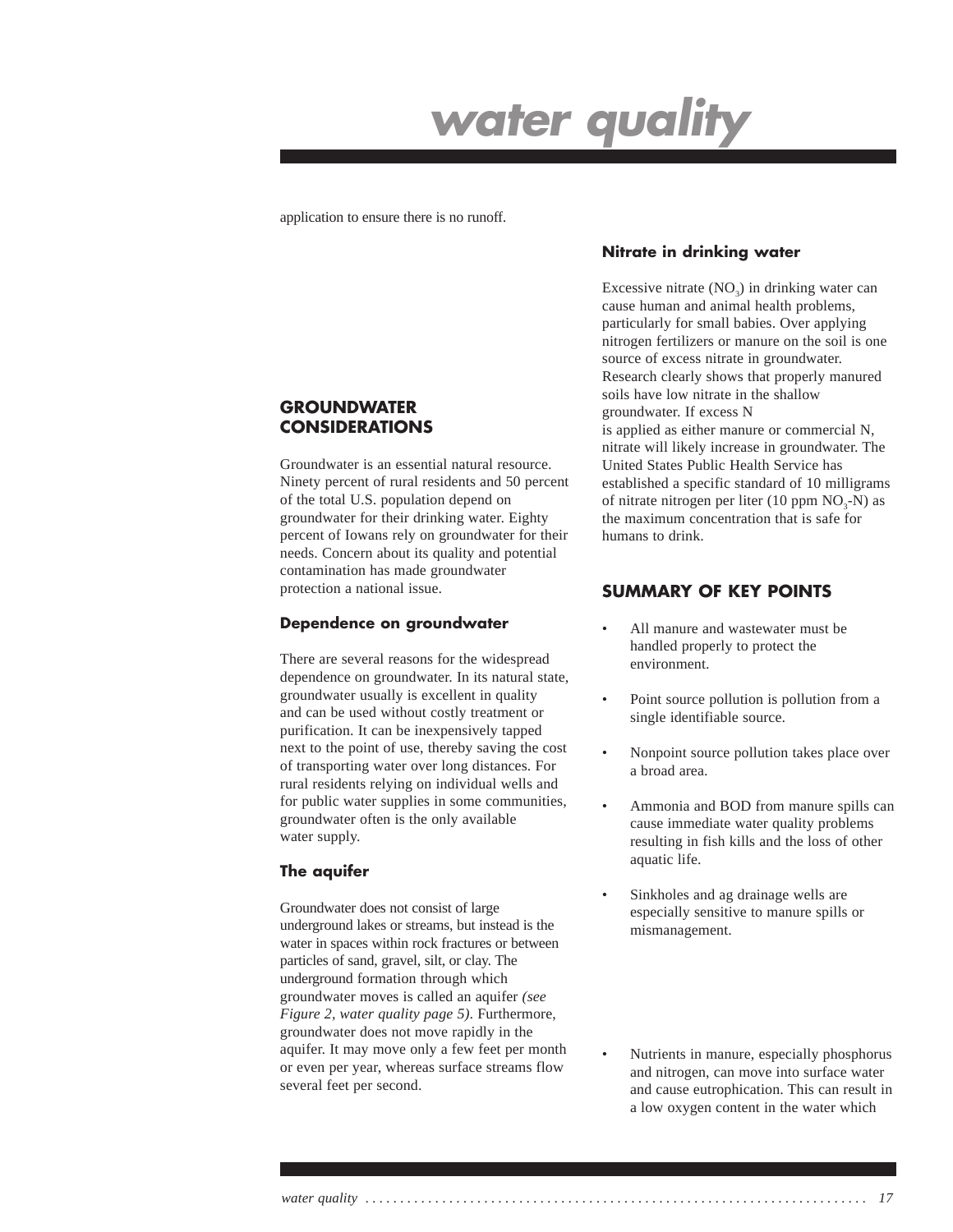application to ensure there is no runoff.

### **GROUNDWATER CONSIDERATIONS**

Groundwater is an essential natural resource. Ninety percent of rural residents and 50 percent of the total U.S. population depend on groundwater for their drinking water. Eighty percent of Iowans rely on groundwater for their needs. Concern about its quality and potential contamination has made groundwater protection a national issue.

#### **Dependence on groundwater**

There are several reasons for the widespread dependence on groundwater. In its natural state, groundwater usually is excellent in quality and can be used without costly treatment or purification. It can be inexpensively tapped next to the point of use, thereby saving the cost of transporting water over long distances. For rural residents relying on individual wells and for public water supplies in some communities, groundwater often is the only available water supply.

### **The aquifer**

Groundwater does not consist of large underground lakes or streams, but instead is the water in spaces within rock fractures or between particles of sand, gravel, silt, or clay. The underground formation through which groundwater moves is called an aquifer *(see Figure 2, water quality page 5)*. Furthermore, groundwater does not move rapidly in the aquifer. It may move only a few feet per month or even per year, whereas surface streams flow several feet per second.

### **Nitrate in drinking water**

Excessive nitrate  $(NO<sub>2</sub>)$  in drinking water can cause human and animal health problems, particularly for small babies. Over applying nitrogen fertilizers or manure on the soil is one source of excess nitrate in groundwater. Research clearly shows that properly manured soils have low nitrate in the shallow groundwater. If excess N

is applied as either manure or commercial N, nitrate will likely increase in groundwater. The United States Public Health Service has established a specific standard of 10 milligrams of nitrate nitrogen per liter (10 ppm  $NO<sub>3</sub>-N$ ) as the maximum concentration that is safe for humans to drink.

### **SUMMARY OF KEY POINTS**

- All manure and wastewater must be handled properly to protect the environment.
- Point source pollution is pollution from a single identifiable source.
- Nonpoint source pollution takes place over a broad area.
- Ammonia and BOD from manure spills can cause immediate water quality problems resulting in fish kills and the loss of other aquatic life.
- Sinkholes and ag drainage wells are especially sensitive to manure spills or mismanagement.
- Nutrients in manure, especially phosphorus and nitrogen, can move into surface water and cause eutrophication. This can result in a low oxygen content in the water which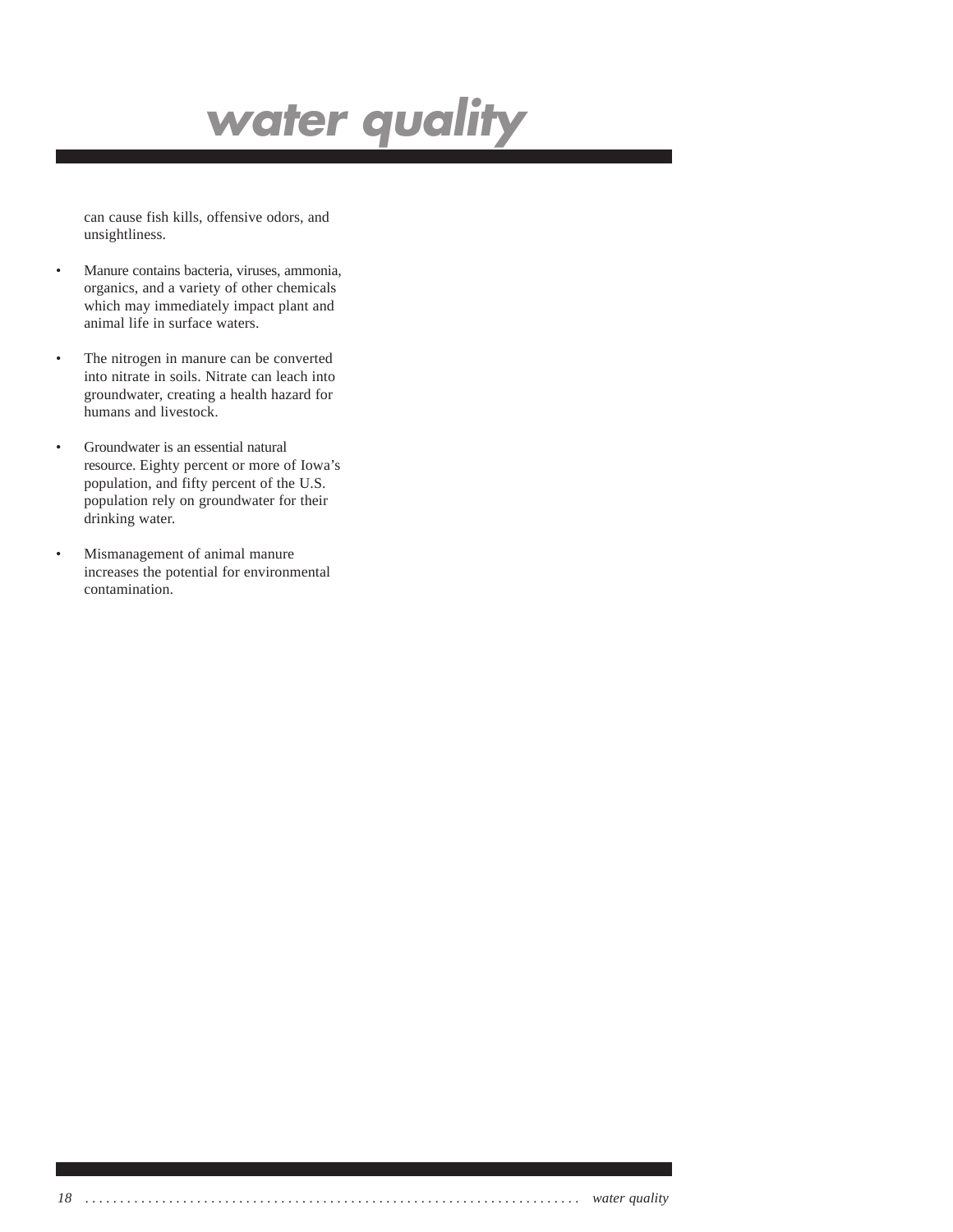can cause fish kills, offensive odors, and unsightliness.

- Manure contains bacteria, viruses, ammonia, organics, and a variety of other chemicals which may immediately impact plant and animal life in surface waters.
- The nitrogen in manure can be converted into nitrate in soils. Nitrate can leach into groundwater, creating a health hazard for humans and livestock.
- Groundwater is an essential natural resource. Eighty percent or more of Iowa's population, and fifty percent of the U.S. population rely on groundwater for their drinking water.
- Mismanagement of animal manure increases the potential for environmental contamination.